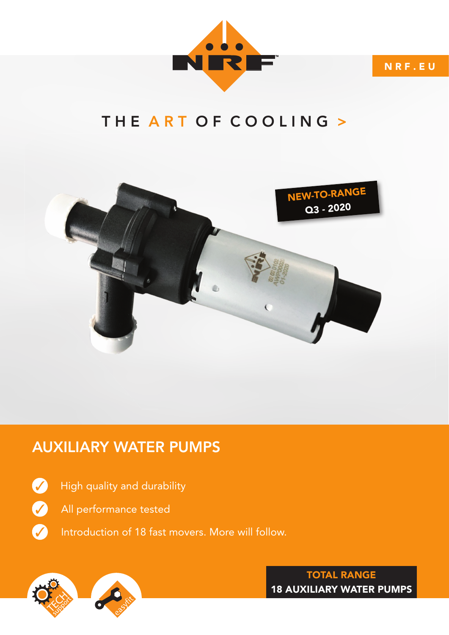

N R F . E U

## THE ART OF COOLING >



## AUXILIARY WATER PUMPS

✓

✓

✓

- High quality and durability
- All performance tested
- Introduction of 18 fast movers. More will follow.



nrf.eu